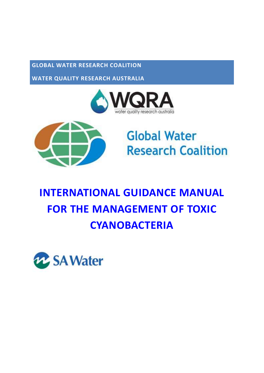#### **GLOBAL WATER RESEARCH COALITION**

**WATER QUALITY RESEARCH AUSTRALIA**





# **Global Water Research Coalition**

# **INTERNATIONAL GUIDANCE MANUAL FOR THE MANAGEMENT OF TOXIC CYANOBACTERIA**

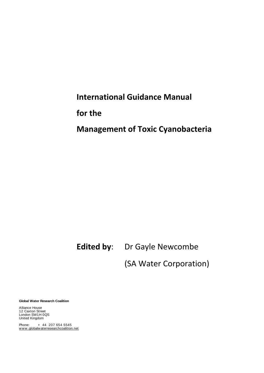## **International Guidance Manual**

**for the** 

### **Management of Toxic Cyanobacteria**

### **Edited by**: Dr Gayle Newcombe

(SA Water Corporation)

**Global Water Research Coalition**

Alliance House 12 Caxton Street London SW1H 0QS United Kingdom

Phone: + 44 207 654 5545 www.globalwaterresearchcoalition.net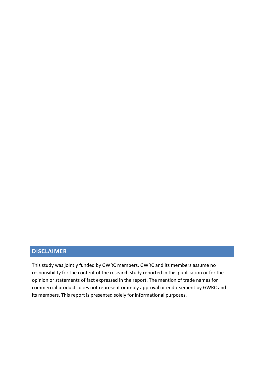#### **DISCLAIMER**

This study was jointly funded by GWRC members. GWRC and its members assume no responsibility for the content of the research study reported in this publication or for the opinion or statements of fact expressed in the report. The mention of trade names for commercial products does not represent or imply approval or endorsement by GWRC and its members. This report is presented solely for informational purposes.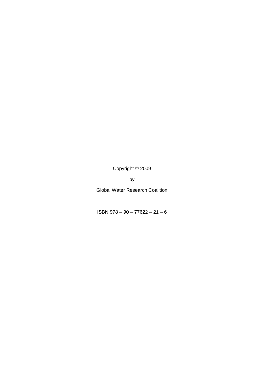Copyright © 2009

by

Global Water Research Coalition

ISBN 978 – 90 – 77622 – 21 – 6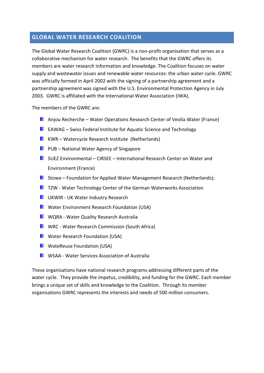#### **GLOBAL WATER RESEARCH COALITION**

The Global Water Research Coalition (GWRC) is a non-profit organisation that serves as a collaborative mechanism for water research. The benefits that the GWRC offers its members are water research information and knowledge. The Coalition focuses on water supply and wastewater issues and renewable water resources: the urban water cycle. GWRC was officially formed in April 2002 with the signing of a partnership agreement and a partnership agreement was signed with the U.S. Environmental Protection Agency in July 2003. GWRC is affiliated with the International Water Association (IWA).

The members of the GWRC are:

- **Anjou Recherche Water Operations Research Center of Veolia Water (France)**
- **E** EAWAG Swiss Federal Institute for Aquatic Science and Technology
- **KWR** Watercycle Research Institute (Netherlands)
- **PUB** National Water Agency of Singapore
- $\blacksquare$  SUEZ Environmental CIRSEE International Research Center on Water and Environment (France)
- **Stowa Foundation for Applied Water Management Research (Netherlands);**
- **TECT TZW Water Technology Center of the German Waterworks Association**
- **UKWIR UK Water Industry Research**
- **N** Water Environment Research Foundation (USA)
- **N** WQRA Water Quality Research Australia
- **NORC Water Research Commission (South Africa)**
- **N** Water Research Foundation (USA)
- **N** WateReuse Foundation (USA)
- **NO** WSAA Water Services Association of Australia

These organisations have national research programs addressing different parts of the water cycle. They provide the impetus, credibility, and funding for the GWRC. Each member brings a unique set of skills and knowledge to the Coalition. Through its member organisations GWRC represents the interests and needs of 500 million consumers.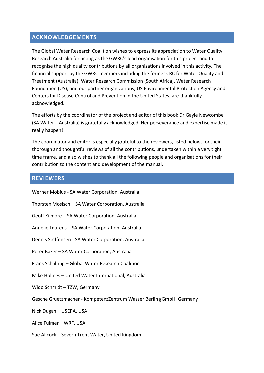#### **ACKNOWLEDGEMENTS**

The Global Water Research Coalition wishes to express its appreciation to Water Quality Research Australia for acting as the GWRC's lead organisation for this project and to recognise the high quality contributions by all organisations involved in this activity. The financial support by the GWRC members including the former CRC for Water Quality and Treatment (Australia), Water Research Commission (South Africa), Water Research Foundation (US), and our partner organizations, US Environmental Protection Agency and Centers for Disease Control and Prevention in the United States, are thankfully acknowledged.

The efforts by the coordinator of the project and editor of this book Dr Gayle Newcombe (SA Water – Australia) is gratefully acknowledged. Her perseverance and expertise made it really happen!

The coordinator and editor is especially grateful to the reviewers, listed below, for their thorough and thoughtful reviews of all the contributions, undertaken within a very tight time frame, and also wishes to thank all the following people and organisations for their contribution to the content and development of the manual.

#### **REVIEWERS**

| Werner Mobius - SA Water Corporation, Australia                     |
|---------------------------------------------------------------------|
| Thorsten Mosisch - SA Water Corporation, Australia                  |
| Geoff Kilmore – SA Water Corporation, Australia                     |
| Annelie Lourens - SA Water Corporation, Australia                   |
| Dennis Steffensen - SA Water Corporation, Australia                 |
| Peter Baker - SA Water Corporation, Australia                       |
| Frans Schulting - Global Water Research Coalition                   |
| Mike Holmes - United Water International, Australia                 |
| Wido Schmidt - TZW, Germany                                         |
| Gesche Gruetzmacher - KompetenzZentrum Wasser Berlin gGmbH, Germany |
| Nick Dugan - USEPA, USA                                             |
| Alice Fulmer - WRF, USA                                             |
| Sue Allcock - Severn Trent Water, United Kingdom                    |
|                                                                     |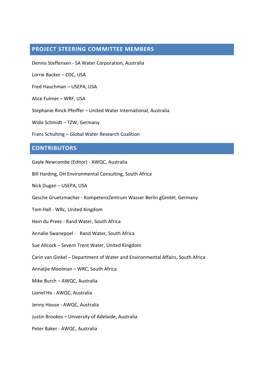#### **PROJECT STEERING COMMITTEE MEMBERS**

Dennis Steffensen - SA Water Corporation, Australia

Lorrie Backer – CDC, USA

Fred Hauchman – USEPA, USA

Alice Fulmer – WRF, USA

Stephanie Rinck-Pfeiffer – United Water International, Australia

Wido Schmidt – TZW, Germany

Frans Schulting – Global Water Research Coalition

#### **CONTRIBUTORS**

Gayle Newcombe (Editor) - AWQC, Australia

Bill Harding, DH Environmental Consulting, South Africa

Nick Dugan – USEPA, USA

Gesche Gruetzmacher - KompetenzZentrum Wasser Berlin gGmbH, Germany

Tom Hall - WRc, United Kingdom

Hein du Preez - Rand Water, South Africa

Annalie Swanepoel - Rand Water, South Africa

Sue Allcock – Severn Trent Water, United Kingdom

Carin van Ginkel – Department of Water and Environmental Affairs, South Africa

Annatjie Moolman – WRC, South Africa

Mike Burch – AWQC, Australia

Lionel Ho - AWQC, Australia

Jenny House - AWQC, Australia

Justin Brookes – University of Adelaide, Australia

Peter Baker - AWQC, Australia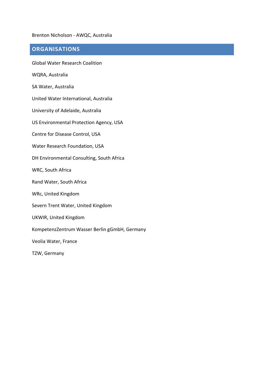#### Brenton Nicholson - AWQC, Australia

#### **ORGANISATIONS**

Global Water Research Coalition

WQRA, Australia

SA Water, Australia

United Water International, Australia

University of Adelaide, Australia

US Environmental Protection Agency, USA

Centre for Disease Control, USA

Water Research Foundation, USA

DH Environmental Consulting, South Africa

WRC, South Africa

Rand Water, South Africa

WRc, United Kingdom

Severn Trent Water, United Kingdom

UKWIR, United Kingdom

KompetenzZentrum Wasser Berlin gGmbH, Germany

Veolia Water, France

TZW, Germany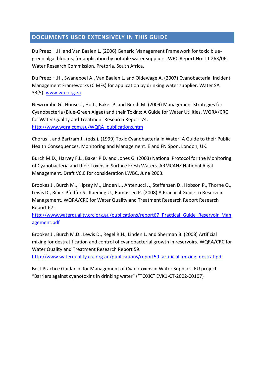#### **DOCUMENTS USED EXTENSIVELY IN THIS GUIDE**

Du Preez H.H. and Van Baalen L. (2006) Generic Management Framework for toxic bluegreen algal blooms, for application by potable water suppliers. WRC Report No: TT 263/06, Water Research Commission, Pretoria, South Africa.

Du Preez H.H., Swanepoel A., Van Baalen L. and Oldewage A. (2007) Cyanobacterial Incident Management Frameworks (CIMFs) for application by drinking water supplier. Water SA 33(5). [www.wrc.org.za](http://www.wrc.org.za/)

Newcombe G., House J., Ho L., Baker P. and Burch M. (2009) Management Strategies for Cyanobacteria (Blue-Green Algae) and their Toxins: A Guide for Water Utilities. WQRA/CRC for Water Quality and Treatment Research Report 74. [http://www.wqra.com.au/WQRA\\_publications.htm](http://www.wqra.com.au/WQRA_publications.htm)

Chorus I. and Bartram J., (eds.), (1999) Toxic Cyanobacteria in Water: A Guide to their Public Health Consequences, Monitoring and Management. E and FN Spon, London, UK.

Burch M.D., Harvey F.L., Baker P.D. and Jones G. (2003) National Protocol for the Monitoring of Cyanobacteria and their Toxins in Surface Fresh Waters. ARMCANZ National Algal Management. Draft V6.0 for consideration LWBC, June 2003.

Brookes J., Burch M., Hipsey M., Linden L., Antenucci J., Steffensen D., Hobson P., Thorne O., Lewis D., Rinck-Pfeiffer S., Kaeding U., Ramussen P. (2008) A Practical Guide to Reservoir Management. WQRA/CRC for Water Quality and Treatment Research Report Research Report 67.

http://www.waterquality.crc.org.au/publications/report67 Practical Guide Reservoir Man [agement.pdf](http://www.waterquality.crc.org.au/publications/report67_Practical_Guide_Reservoir_Management.pdf)

Brookes J., Burch M.D., Lewis D., Regel R.H., Linden L. and Sherman B. (2008) Artificial mixing for destratification and control of cyanobacterial growth in reservoirs. WQRA/CRC for Water Quality and Treatment Research Report 59.

[http://www.waterquality.crc.org.au/publications/report59\\_artificial\\_mixing\\_destrat.pdf](http://www.waterquality.crc.org.au/publications/report59_artificial_mixing_destrat.pdf)

Best Practice Guidance for Management of Cyanotoxins in Water Supplies. EU project "Barriers against cyanotoxins in drinking water" ("TOXIC" EVK1-CT-2002-00107)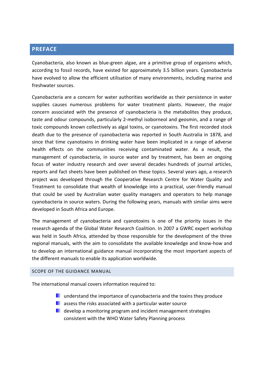#### **PREFACE**

Cyanobacteria, also known as blue-green algae, are a primitive group of organisms which, according to fossil records, have existed for approximately 3.5 billion years. Cyanobacteria have evolved to allow the efficient utilisation of many environments, including marine and freshwater sources.

Cyanobacteria are a concern for water authorities worldwide as their persistence in water supplies causes numerous problems for water treatment plants. However, the major concern associated with the presence of cyanobacteria is the metabolites they produce, taste and odour compounds, particularly 2-methyl isoborneol and geosmin, and a range of toxic compounds known collectively as algal toxins, or cyanotoxins. The first recorded stock death due to the presence of cyanobacteria was reported in South Australia in 1878, and since that time cyanotoxins in drinking water have been implicated in a range of adverse health effects on the communities receiving contaminated water. As a result, the management of cyanobacteria, in source water and by treatment, has been an ongoing focus of water industry research and over several decades hundreds of journal articles, reports and fact sheets have been published on these topics. Several years ago, a research project was developed through the Cooperative Research Centre for Water Quality and Treatment to consolidate that wealth of knowledge into a practical, user-friendly manual that could be used by Australian water quality managers and operators to help manage cyanobacteria in source waters. During the following years, manuals with similar aims were developed in South Africa and Europe.

The management of cyanobacteria and cyanotoxins is one of the priority issues in the research agenda of the Global Water Research Coalition. In 2007 a GWRC expert workshop was held in South Africa, attended by those responsible for the development of the three regional manuals, with the aim to consolidate the available knowledge and know-how and to develop an international guidance manual incorporating the most important aspects of the different manuals to enable its application worldwide.

#### SCOPE OF THE GUIDANCE MANUAL

The international manual covers information required to:

- **L** understand the importance of cyanobacteria and the toxins they produce
- $\blacksquare$  assess the risks associated with a particular water source
- **D** develop a monitoring program and incident management strategies consistent with the WHO Water Safety Planning process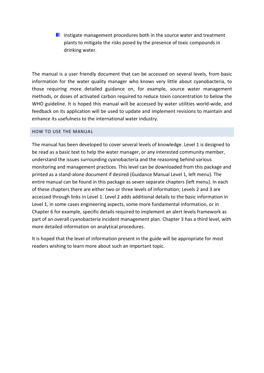**instigate management procedures both in the source water and treatment** plants to mitigate the risks posed by the presence of toxic compounds in drinking water.

The manual is a user friendly document that can be accessed on several levels, from basic information for the water quality manager who knows very little about cyanobacteria, to those requiring more detailed guidance on, for example, source water management methods, or doses of activated carbon required to reduce toxin concentration to below the WHO guideline. It is hoped this manual will be accessed by water utilities world-wide, and feedback on its application will be used to update and implement revisions to maintain and enhance its usefulness to the international water industry.

#### HOW TO USE THE MANUAL

The manual has been developed to cover several levels of knowledge. Level 1 is designed to be read as a basic text to help the water manager, or any interested community member, understand the issues surrounding cyanobacteria and the reasoning behind various monitoring and management practices. This level can be downloaded from this package and printed as a stand-alone document if desired (Guidance Manual Level 1, left menu). The entire manual can be found in this package as seven separate chapters (left menu). In each of these chapters there are either two or three levels of information; Levels 2 and 3 are accessed through links in Level 1. Level 2 adds additional details to the basic information in Level 1, in some cases engineering aspects, some more fundamental information, or in Chapter 6 for example, specific details required to implement an alert levels framework as part of an overall cyanobacteria incident management plan. Chapter 3 has a third level, with more detailed information on analytical procedures.

It is hoped that the level of information present in the guide will be appropriate for most readers wishing to learn more about such an important topic.